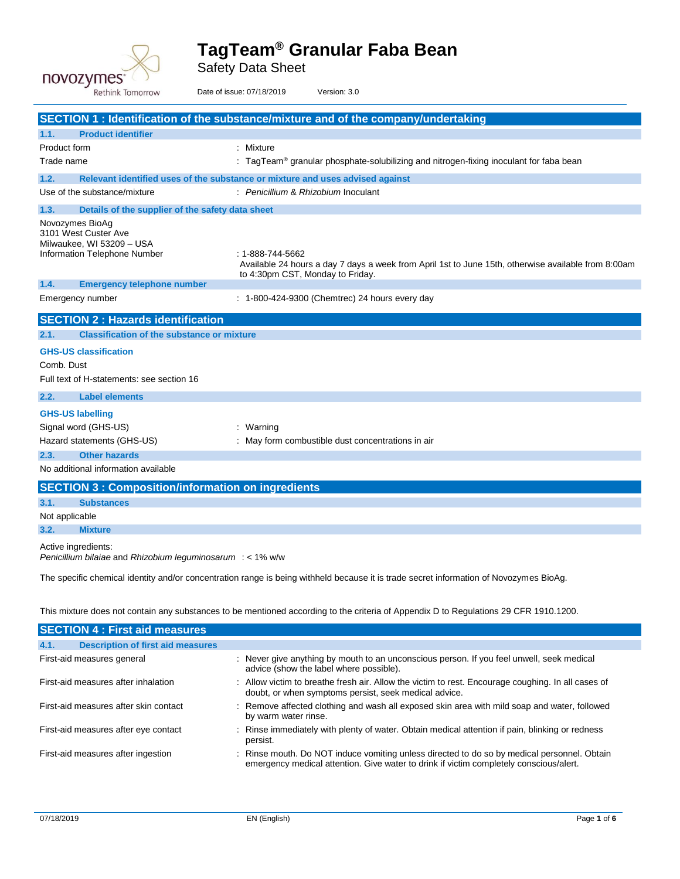

Safety Data Sheet

| <b>Rethink Tomorrow</b>                                                                                                                | Date of issue: 07/18/2019<br>Version: 3.0                                                                                                                   |  |
|----------------------------------------------------------------------------------------------------------------------------------------|-------------------------------------------------------------------------------------------------------------------------------------------------------------|--|
|                                                                                                                                        | SECTION 1: Identification of the substance/mixture and of the company/undertaking                                                                           |  |
| 1.1.<br><b>Product identifier</b>                                                                                                      |                                                                                                                                                             |  |
| Product form                                                                                                                           | : Mixture                                                                                                                                                   |  |
| Trade name                                                                                                                             | : TagTeam <sup>®</sup> granular phosphate-solubilizing and nitrogen-fixing inoculant for faba bean                                                          |  |
| 1.2.                                                                                                                                   | Relevant identified uses of the substance or mixture and uses advised against                                                                               |  |
| Use of the substance/mixture                                                                                                           | : Penicillium & Rhizobium Inoculant                                                                                                                         |  |
| 1.3.<br>Details of the supplier of the safety data sheet                                                                               |                                                                                                                                                             |  |
| Novozymes BioAg<br>3101 West Custer Ave<br>Milwaukee, WI 53209 - USA<br>Information Telephone Number                                   | : 1-888-744-5662<br>Available 24 hours a day 7 days a week from April 1st to June 15th, otherwise available from 8:00am<br>to 4:30pm CST, Monday to Friday. |  |
| 1.4.<br><b>Emergency telephone number</b>                                                                                              |                                                                                                                                                             |  |
| Emergency number                                                                                                                       | : 1-800-424-9300 (Chemtrec) 24 hours every day                                                                                                              |  |
| <b>SECTION 2: Hazards identification</b>                                                                                               |                                                                                                                                                             |  |
| <b>Classification of the substance or mixture</b><br>2.1.                                                                              |                                                                                                                                                             |  |
| <b>GHS-US classification</b><br>Comb. Dust<br>Full text of H-statements: see section 16                                                |                                                                                                                                                             |  |
| 2.2.<br><b>Label elements</b>                                                                                                          |                                                                                                                                                             |  |
| <b>GHS-US labelling</b><br>Signal word (GHS-US)<br>Hazard statements (GHS-US)                                                          | : Warning<br>: May form combustible dust concentrations in air                                                                                              |  |
| <b>Other hazards</b><br>2.3.                                                                                                           |                                                                                                                                                             |  |
| No additional information available                                                                                                    |                                                                                                                                                             |  |
| <b>SECTION 3: Composition/information on ingredients</b>                                                                               |                                                                                                                                                             |  |
| 3.1.<br><b>Substances</b>                                                                                                              |                                                                                                                                                             |  |
| Not applicable                                                                                                                         |                                                                                                                                                             |  |
| 3.2.<br><b>Mixture</b>                                                                                                                 |                                                                                                                                                             |  |
| Active ingredients:<br>Penicillium bilaiae and Rhizobium leguminosarum $:$ < 1% w/w                                                    |                                                                                                                                                             |  |
| The specific chemical identity and/or concentration range is being withheld because it is trade secret information of Novozymes BioAg. |                                                                                                                                                             |  |
|                                                                                                                                        | This mixture does not contain any substances to be mentioned according to the criteria of Appendix D to Regulations 29 CFR 1910.1200.                       |  |
| <b>SECTION 4 : First aid measures</b>                                                                                                  |                                                                                                                                                             |  |
| 4.1.<br><b>Description of first aid measures</b>                                                                                       |                                                                                                                                                             |  |
| First-aid measures general                                                                                                             | : Never give anything by mouth to an unconscious person. If you feel unwell, seek medical<br>advice (show the label where possible).                        |  |
| First-aid measures after inhalation                                                                                                    | : Allow victim to breathe fresh air. Allow the victim to rest. Encourage coughing. In all cases of<br>doubt, or when symptoms persist, seek medical advice. |  |
| First-aid measures after skin contact                                                                                                  | : Remove affected clothing and wash all exposed skin area with mild soap and water, followed<br>by warm water rinse.                                        |  |

First-aid measures after ingestion : Rinse mouth. Do NOT induce vomiting unless directed to do so by medical personnel. Obtain emergency medical attention. Give water to drink if victim completely conscious/alert.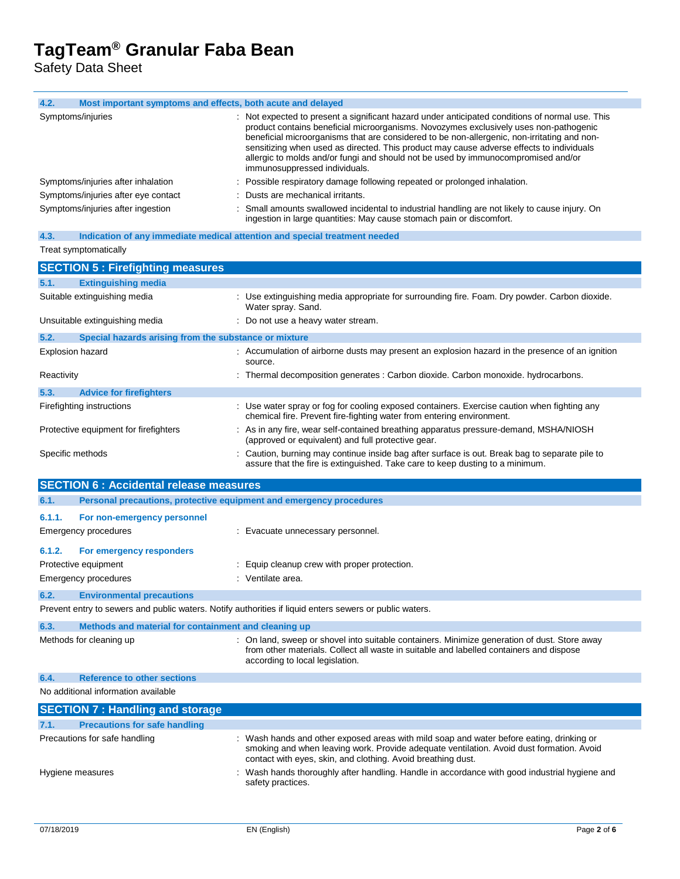Safety Data Sheet

| 4.2.<br>Most important symptoms and effects, both acute and delayed                                     |                                                                                                                                                                                                                                                                                                                                                                                                                                                                                                         |  |
|---------------------------------------------------------------------------------------------------------|---------------------------------------------------------------------------------------------------------------------------------------------------------------------------------------------------------------------------------------------------------------------------------------------------------------------------------------------------------------------------------------------------------------------------------------------------------------------------------------------------------|--|
| Symptoms/injuries                                                                                       | Not expected to present a significant hazard under anticipated conditions of normal use. This<br>product contains beneficial microorganisms. Novozymes exclusively uses non-pathogenic<br>beneficial microorganisms that are considered to be non-allergenic, non-irritating and non-<br>sensitizing when used as directed. This product may cause adverse effects to individuals<br>allergic to molds and/or fungi and should not be used by immunocompromised and/or<br>immunosuppressed individuals. |  |
| Symptoms/injuries after inhalation                                                                      | Possible respiratory damage following repeated or prolonged inhalation.                                                                                                                                                                                                                                                                                                                                                                                                                                 |  |
| Symptoms/injuries after eye contact                                                                     | Dusts are mechanical irritants.                                                                                                                                                                                                                                                                                                                                                                                                                                                                         |  |
| Symptoms/injuries after ingestion                                                                       | Small amounts swallowed incidental to industrial handling are not likely to cause injury. On<br>ingestion in large quantities: May cause stomach pain or discomfort.                                                                                                                                                                                                                                                                                                                                    |  |
| Indication of any immediate medical attention and special treatment needed<br>4.3.                      |                                                                                                                                                                                                                                                                                                                                                                                                                                                                                                         |  |
| Treat symptomatically                                                                                   |                                                                                                                                                                                                                                                                                                                                                                                                                                                                                                         |  |
| <b>SECTION 5: Firefighting measures</b>                                                                 |                                                                                                                                                                                                                                                                                                                                                                                                                                                                                                         |  |
| <b>Extinguishing media</b><br>5.1.                                                                      |                                                                                                                                                                                                                                                                                                                                                                                                                                                                                                         |  |
| Suitable extinguishing media                                                                            | : Use extinguishing media appropriate for surrounding fire. Foam. Dry powder. Carbon dioxide.<br>Water spray. Sand.                                                                                                                                                                                                                                                                                                                                                                                     |  |
| Unsuitable extinguishing media                                                                          | : Do not use a heavy water stream.                                                                                                                                                                                                                                                                                                                                                                                                                                                                      |  |
| 5.2.<br>Special hazards arising from the substance or mixture                                           |                                                                                                                                                                                                                                                                                                                                                                                                                                                                                                         |  |
| Explosion hazard                                                                                        | : Accumulation of airborne dusts may present an explosion hazard in the presence of an ignition<br>source.                                                                                                                                                                                                                                                                                                                                                                                              |  |
| Reactivity                                                                                              | : Thermal decomposition generates : Carbon dioxide. Carbon monoxide. hydrocarbons.                                                                                                                                                                                                                                                                                                                                                                                                                      |  |
| 5.3.<br><b>Advice for firefighters</b>                                                                  |                                                                                                                                                                                                                                                                                                                                                                                                                                                                                                         |  |
| Firefighting instructions                                                                               | : Use water spray or fog for cooling exposed containers. Exercise caution when fighting any<br>chemical fire. Prevent fire-fighting water from entering environment.                                                                                                                                                                                                                                                                                                                                    |  |
| Protective equipment for firefighters                                                                   | : As in any fire, wear self-contained breathing apparatus pressure-demand, MSHA/NIOSH<br>(approved or equivalent) and full protective gear.                                                                                                                                                                                                                                                                                                                                                             |  |
| Specific methods                                                                                        | : Caution, burning may continue inside bag after surface is out. Break bag to separate pile to<br>assure that the fire is extinguished. Take care to keep dusting to a minimum.                                                                                                                                                                                                                                                                                                                         |  |
| <b>SECTION 6 : Accidental release measures</b>                                                          |                                                                                                                                                                                                                                                                                                                                                                                                                                                                                                         |  |
| 6.1.<br>Personal precautions, protective equipment and emergency procedures                             |                                                                                                                                                                                                                                                                                                                                                                                                                                                                                                         |  |
| 6.1.1.<br>For non-emergency personnel                                                                   |                                                                                                                                                                                                                                                                                                                                                                                                                                                                                                         |  |
| <b>Emergency procedures</b>                                                                             | : Evacuate unnecessary personnel.                                                                                                                                                                                                                                                                                                                                                                                                                                                                       |  |
|                                                                                                         |                                                                                                                                                                                                                                                                                                                                                                                                                                                                                                         |  |
| 6.1.2.<br>For emergency responders                                                                      |                                                                                                                                                                                                                                                                                                                                                                                                                                                                                                         |  |
| Protective equipment                                                                                    | Equip cleanup crew with proper protection.                                                                                                                                                                                                                                                                                                                                                                                                                                                              |  |
| Emergency procedures                                                                                    | : Ventilate area.                                                                                                                                                                                                                                                                                                                                                                                                                                                                                       |  |
| 6.2.<br><b>Environmental precautions</b>                                                                |                                                                                                                                                                                                                                                                                                                                                                                                                                                                                                         |  |
| Prevent entry to sewers and public waters. Notify authorities if liquid enters sewers or public waters. |                                                                                                                                                                                                                                                                                                                                                                                                                                                                                                         |  |
| 6.3.<br>Methods and material for containment and cleaning up                                            |                                                                                                                                                                                                                                                                                                                                                                                                                                                                                                         |  |
| Methods for cleaning up                                                                                 | : On land, sweep or shovel into suitable containers. Minimize generation of dust. Store away<br>from other materials. Collect all waste in suitable and labelled containers and dispose<br>according to local legislation.                                                                                                                                                                                                                                                                              |  |
| 6.4.<br><b>Reference to other sections</b>                                                              |                                                                                                                                                                                                                                                                                                                                                                                                                                                                                                         |  |
| No additional information available                                                                     |                                                                                                                                                                                                                                                                                                                                                                                                                                                                                                         |  |
| <b>SECTION 7: Handling and storage</b>                                                                  |                                                                                                                                                                                                                                                                                                                                                                                                                                                                                                         |  |
| <b>Precautions for safe handling</b><br>7.1.                                                            |                                                                                                                                                                                                                                                                                                                                                                                                                                                                                                         |  |
| Precautions for safe handling                                                                           | : Wash hands and other exposed areas with mild soap and water before eating, drinking or<br>smoking and when leaving work. Provide adequate ventilation. Avoid dust formation. Avoid                                                                                                                                                                                                                                                                                                                    |  |
| Hygiene measures                                                                                        | contact with eyes, skin, and clothing. Avoid breathing dust.<br>Wash hands thoroughly after handling. Handle in accordance with good industrial hygiene and<br>safety practices.                                                                                                                                                                                                                                                                                                                        |  |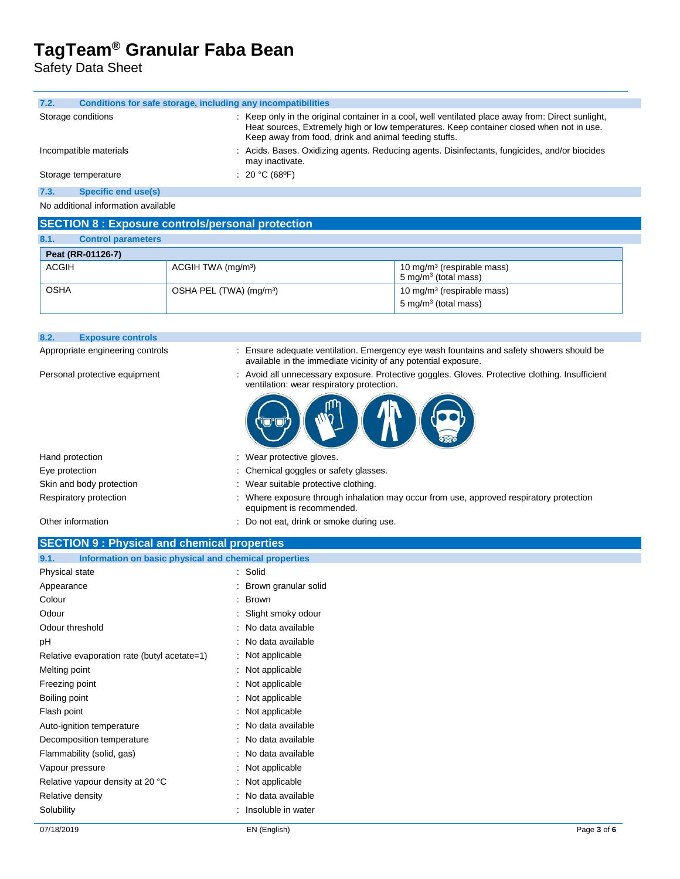Safety Data Sheet

**8.2. Exposure controls**

| 7.2.                                | Conditions for safe storage, including any incompatibilities                                                                                                                                                                                            |  |  |
|-------------------------------------|---------------------------------------------------------------------------------------------------------------------------------------------------------------------------------------------------------------------------------------------------------|--|--|
| Storage conditions                  | : Keep only in the original container in a cool, well ventilated place away from: Direct sunlight,<br>Heat sources, Extremely high or low temperatures. Keep container closed when not in use.<br>Keep away from food, drink and animal feeding stuffs. |  |  |
| Incompatible materials              | : Acids. Bases. Oxidizing agents. Reducing agents. Disinfectants, fungicides, and/or biocides<br>may inactivate.                                                                                                                                        |  |  |
| Storage temperature                 | : 20 °C (68°F)                                                                                                                                                                                                                                          |  |  |
| Specific end use(s)<br>7.3.         |                                                                                                                                                                                                                                                         |  |  |
| No additional information available |                                                                                                                                                                                                                                                         |  |  |

#### **SECTION 8 : Exposure controls/personal protection**

| 8.1.         | <b>Control parameters</b> |                                     |                                                                   |  |
|--------------|---------------------------|-------------------------------------|-------------------------------------------------------------------|--|
|              | Peat (RR-01126-7)         |                                     |                                                                   |  |
| <b>ACGIH</b> |                           | ACGIH TWA (mg/m <sup>3</sup> )      | 10 mg/m <sup>3</sup> (respirable mass)<br>5 mg/m $3$ (total mass) |  |
| <b>OSHA</b>  |                           | OSHA PEL (TWA) (mg/m <sup>3</sup> ) | 10 mg/m <sup>3</sup> (respirable mass)<br>5 mg/m $3$ (total mass) |  |
|              |                           |                                     |                                                                   |  |

| <b>OSHA</b> | OSHA PEL (TWA) (mg/m <sup>3</sup> ) | 10 mg/m <sup>3</sup> (respirable mass)<br>5 mg/m <sup>3</sup> (total mass) |
|-------------|-------------------------------------|----------------------------------------------------------------------------|
|             |                                     |                                                                            |

Appropriate engineering controls : Ensure adequate ventilation. Emergency eye wash fountains and safety showers should be

available in the immediate vicinity of any potential exposure.

| Personal protective equipment | : Avoid all unnecessary exposure. Protective goggles. Gloves. Protective clothing. Insufficient<br>ventilation: wear respiratory protection. |  |  |
|-------------------------------|----------------------------------------------------------------------------------------------------------------------------------------------|--|--|
|                               |                                                                                                                                              |  |  |
| Hand protection               | : Wear protective gloves.                                                                                                                    |  |  |
| Eye protection                | : Chemical goggles or safety glasses.                                                                                                        |  |  |
| Skin and body protection      | : Wear suitable protective clothing.                                                                                                         |  |  |
| Respiratory protection        | Where exposure through inhalation may occur from use, approved respiratory protection<br>۰.<br>equipment is recommended.                     |  |  |
| Other information             | Do not eat, drink or smoke during use.                                                                                                       |  |  |

#### **SECTION 9 : Physical and chemical properties**

| Information on basic physical and chemical properties<br>9.1. |                      |  |
|---------------------------------------------------------------|----------------------|--|
| Physical state                                                | : Solid              |  |
| Appearance                                                    | Brown granular solid |  |
| Colour                                                        | <b>Brown</b><br>÷.   |  |
| Odour                                                         | : Slight smoky odour |  |
| Odour threshold                                               | : No data available  |  |
| рH                                                            | : No data available  |  |
| Relative evaporation rate (butyl acetate=1)                   | $:$ Not applicable   |  |
| Melting point                                                 | : Not applicable     |  |
| Freezing point                                                | : Not applicable     |  |
| Boiling point                                                 | : Not applicable     |  |
| Flash point                                                   | : Not applicable     |  |
| Auto-ignition temperature                                     | : No data available  |  |
| Decomposition temperature                                     | : No data available  |  |
| Flammability (solid, gas)                                     | : No data available  |  |
| Vapour pressure                                               | : Not applicable     |  |
| Relative vapour density at 20 °C                              | : Not applicable     |  |
| Relative density                                              | : No data available  |  |
| Solubility                                                    | : Insoluble in water |  |
|                                                               |                      |  |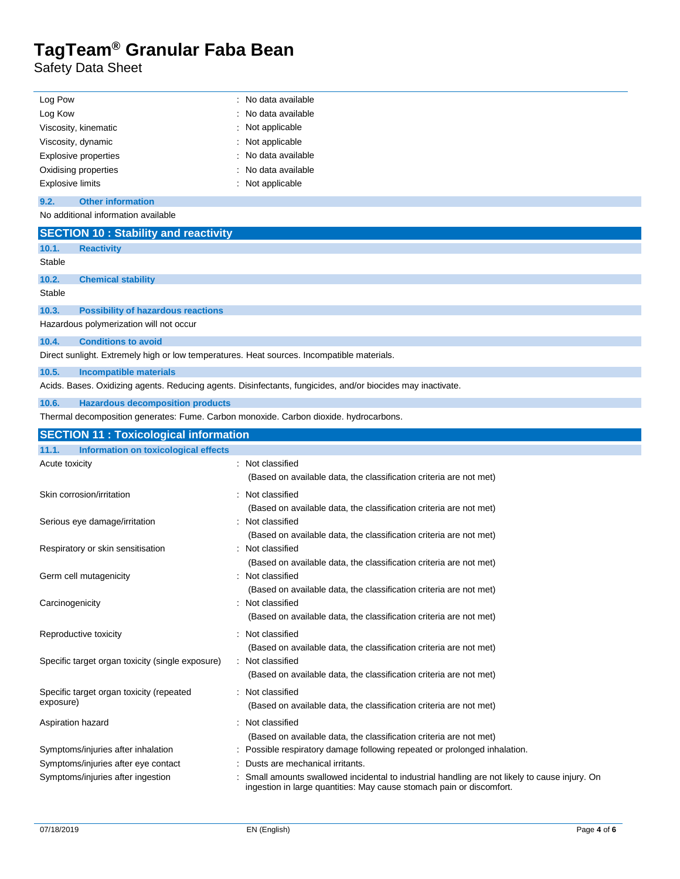Safety Data Sheet

 $\overline{a}$ 

| Log Pow                                                                                    | : No data available                                                                                                                                                  |  |  |
|--------------------------------------------------------------------------------------------|----------------------------------------------------------------------------------------------------------------------------------------------------------------------|--|--|
| Log Kow                                                                                    | No data available                                                                                                                                                    |  |  |
| Viscosity, kinematic                                                                       | Not applicable                                                                                                                                                       |  |  |
| Viscosity, dynamic                                                                         | Not applicable                                                                                                                                                       |  |  |
| <b>Explosive properties</b>                                                                | No data available                                                                                                                                                    |  |  |
| Oxidising properties                                                                       | No data available                                                                                                                                                    |  |  |
| <b>Explosive limits</b>                                                                    | Not applicable                                                                                                                                                       |  |  |
| 9.2.<br><b>Other information</b>                                                           |                                                                                                                                                                      |  |  |
| No additional information available                                                        |                                                                                                                                                                      |  |  |
| <b>SECTION 10: Stability and reactivity</b>                                                |                                                                                                                                                                      |  |  |
| 10.1.<br><b>Reactivity</b>                                                                 |                                                                                                                                                                      |  |  |
| Stable                                                                                     |                                                                                                                                                                      |  |  |
| 10.2.<br><b>Chemical stability</b>                                                         |                                                                                                                                                                      |  |  |
| Stable                                                                                     |                                                                                                                                                                      |  |  |
| 10.3.<br><b>Possibility of hazardous reactions</b>                                         |                                                                                                                                                                      |  |  |
| Hazardous polymerization will not occur                                                    |                                                                                                                                                                      |  |  |
| <b>Conditions to avoid</b><br>10.4.                                                        |                                                                                                                                                                      |  |  |
| Direct sunlight. Extremely high or low temperatures. Heat sources. Incompatible materials. |                                                                                                                                                                      |  |  |
| 10.5.<br>Incompatible materials                                                            |                                                                                                                                                                      |  |  |
|                                                                                            | Acids. Bases. Oxidizing agents. Reducing agents. Disinfectants, fungicides, and/or biocides may inactivate.                                                          |  |  |
| <b>Hazardous decomposition products</b><br>10.6.                                           |                                                                                                                                                                      |  |  |
| Thermal decomposition generates: Fume. Carbon monoxide. Carbon dioxide. hydrocarbons.      |                                                                                                                                                                      |  |  |
| <b>SECTION 11 : Toxicological information</b>                                              |                                                                                                                                                                      |  |  |
| Information on toxicological effects<br>11.1.                                              |                                                                                                                                                                      |  |  |
| Acute toxicity                                                                             | Not classified                                                                                                                                                       |  |  |
|                                                                                            | (Based on available data, the classification criteria are not met)                                                                                                   |  |  |
| Skin corrosion/irritation                                                                  | Not classified                                                                                                                                                       |  |  |
|                                                                                            | (Based on available data, the classification criteria are not met)                                                                                                   |  |  |
| Serious eye damage/irritation                                                              | : Not classified                                                                                                                                                     |  |  |
|                                                                                            | (Based on available data, the classification criteria are not met)                                                                                                   |  |  |
| Respiratory or skin sensitisation                                                          | : Not classified                                                                                                                                                     |  |  |
|                                                                                            | (Based on available data, the classification criteria are not met)                                                                                                   |  |  |
| Germ cell mutagenicity                                                                     | : Not classified                                                                                                                                                     |  |  |
|                                                                                            | (Based on available data, the classification criteria are not met)                                                                                                   |  |  |
| Carcinogenicity                                                                            | Not classified                                                                                                                                                       |  |  |
|                                                                                            | (Based on available data, the classification criteria are not met)                                                                                                   |  |  |
| Reproductive toxicity                                                                      | : Not classified                                                                                                                                                     |  |  |
|                                                                                            | (Based on available data, the classification criteria are not met)                                                                                                   |  |  |
| Specific target organ toxicity (single exposure)                                           | : Not classified                                                                                                                                                     |  |  |
|                                                                                            | (Based on available data, the classification criteria are not met)                                                                                                   |  |  |
| Specific target organ toxicity (repeated                                                   | : Not classified                                                                                                                                                     |  |  |
| exposure)                                                                                  | (Based on available data, the classification criteria are not met)                                                                                                   |  |  |
| Aspiration hazard                                                                          | : Not classified                                                                                                                                                     |  |  |
|                                                                                            | (Based on available data, the classification criteria are not met)                                                                                                   |  |  |
| Symptoms/injuries after inhalation                                                         | Possible respiratory damage following repeated or prolonged inhalation.                                                                                              |  |  |
| Symptoms/injuries after eye contact                                                        | Dusts are mechanical irritants.                                                                                                                                      |  |  |
| Symptoms/injuries after ingestion                                                          | Small amounts swallowed incidental to industrial handling are not likely to cause injury. On<br>ingestion in large quantities: May cause stomach pain or discomfort. |  |  |
|                                                                                            |                                                                                                                                                                      |  |  |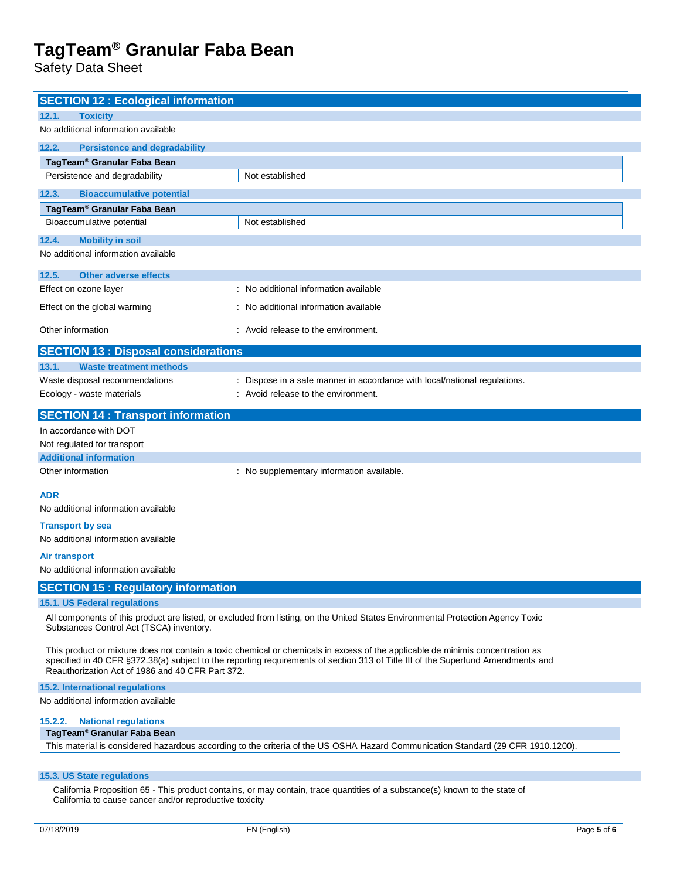Safety Data Sheet

| <b>SECTION 12 : Ecological information</b>                                                                                                                                                                                                                                                                             |                                                                           |  |
|------------------------------------------------------------------------------------------------------------------------------------------------------------------------------------------------------------------------------------------------------------------------------------------------------------------------|---------------------------------------------------------------------------|--|
| 12.1.<br><b>Toxicity</b>                                                                                                                                                                                                                                                                                               |                                                                           |  |
| No additional information available                                                                                                                                                                                                                                                                                    |                                                                           |  |
| 12.2.<br><b>Persistence and degradability</b>                                                                                                                                                                                                                                                                          |                                                                           |  |
| TagTeam <sup>®</sup> Granular Faba Bean                                                                                                                                                                                                                                                                                |                                                                           |  |
| Persistence and degradability                                                                                                                                                                                                                                                                                          | Not established                                                           |  |
| 12.3.<br><b>Bioaccumulative potential</b>                                                                                                                                                                                                                                                                              |                                                                           |  |
| TagTeam <sup>®</sup> Granular Faba Bean                                                                                                                                                                                                                                                                                |                                                                           |  |
| Bioaccumulative potential                                                                                                                                                                                                                                                                                              | Not established                                                           |  |
| 12.4.<br><b>Mobility in soil</b>                                                                                                                                                                                                                                                                                       |                                                                           |  |
| No additional information available                                                                                                                                                                                                                                                                                    |                                                                           |  |
| 12.5.<br><b>Other adverse effects</b>                                                                                                                                                                                                                                                                                  |                                                                           |  |
| Effect on ozone layer                                                                                                                                                                                                                                                                                                  | : No additional information available                                     |  |
| Effect on the global warming                                                                                                                                                                                                                                                                                           | : No additional information available                                     |  |
| Other information                                                                                                                                                                                                                                                                                                      | : Avoid release to the environment.                                       |  |
| <b>SECTION 13 : Disposal considerations</b>                                                                                                                                                                                                                                                                            |                                                                           |  |
| 13.1.<br><b>Waste treatment methods</b>                                                                                                                                                                                                                                                                                |                                                                           |  |
| Waste disposal recommendations                                                                                                                                                                                                                                                                                         | : Dispose in a safe manner in accordance with local/national regulations. |  |
| Ecology - waste materials                                                                                                                                                                                                                                                                                              | : Avoid release to the environment.                                       |  |
| <b>SECTION 14 : Transport information</b>                                                                                                                                                                                                                                                                              |                                                                           |  |
| In accordance with DOT                                                                                                                                                                                                                                                                                                 |                                                                           |  |
| Not regulated for transport                                                                                                                                                                                                                                                                                            |                                                                           |  |
| <b>Additional information</b>                                                                                                                                                                                                                                                                                          |                                                                           |  |
| Other information                                                                                                                                                                                                                                                                                                      | : No supplementary information available.                                 |  |
| <b>ADR</b>                                                                                                                                                                                                                                                                                                             |                                                                           |  |
| No additional information available                                                                                                                                                                                                                                                                                    |                                                                           |  |
| <b>Transport by sea</b>                                                                                                                                                                                                                                                                                                |                                                                           |  |
| No additional information available                                                                                                                                                                                                                                                                                    |                                                                           |  |
| <b>Air transport</b>                                                                                                                                                                                                                                                                                                   |                                                                           |  |
| No additional information available                                                                                                                                                                                                                                                                                    |                                                                           |  |
| <b>SECTION 15: Regulatory information</b>                                                                                                                                                                                                                                                                              |                                                                           |  |
| 15.1. US Federal regulations                                                                                                                                                                                                                                                                                           |                                                                           |  |
| All components of this product are listed, or excluded from listing, on the United States Environmental Protection Agency Toxic<br>Substances Control Act (TSCA) inventory.                                                                                                                                            |                                                                           |  |
| This product or mixture does not contain a toxic chemical or chemicals in excess of the applicable de minimis concentration as<br>specified in 40 CFR §372.38(a) subject to the reporting requirements of section 313 of Title III of the Superfund Amendments and<br>Reauthorization Act of 1986 and 40 CFR Part 372. |                                                                           |  |
| <b>15.2. International requlations</b>                                                                                                                                                                                                                                                                                 |                                                                           |  |
| No additional information available                                                                                                                                                                                                                                                                                    |                                                                           |  |
| <b>National regulations</b><br>15.2.2.<br>TagTeam <sup>®</sup> Granular Faba Bean                                                                                                                                                                                                                                      |                                                                           |  |
| This material is considered hazardous according to the criteria of the US OSHA Hazard Communication Standard (29 CFR 1910.1200).                                                                                                                                                                                       |                                                                           |  |
|                                                                                                                                                                                                                                                                                                                        |                                                                           |  |

#### **15.3. US State regulations**

California Proposition 65 - This product contains, or may contain, trace quantities of a substance(s) known to the state of California to cause cancer and/or reproductive toxicity